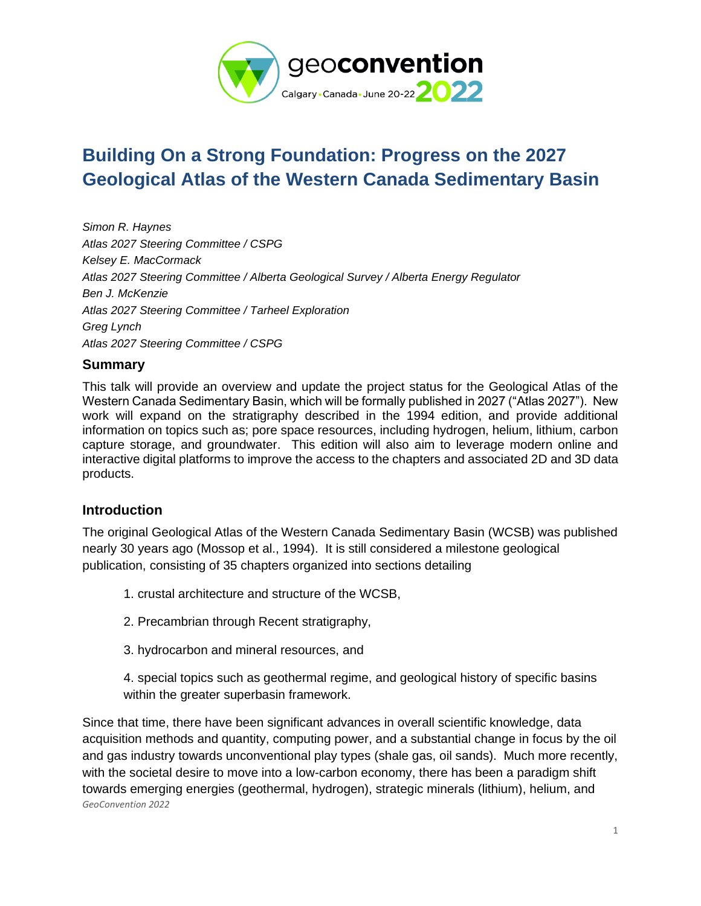

# **Building On a Strong Foundation: Progress on the 2027 Geological Atlas of the Western Canada Sedimentary Basin**

*Simon R. Haynes Atlas 2027 Steering Committee / CSPG Kelsey E. MacCormack Atlas 2027 Steering Committee / Alberta Geological Survey / Alberta Energy Regulator Ben J. McKenzie Atlas 2027 Steering Committee / Tarheel Exploration Greg Lynch Atlas 2027 Steering Committee / CSPG*

## **Summary**

This talk will provide an overview and update the project status for the Geological Atlas of the Western Canada Sedimentary Basin, which will be formally published in 2027 ("Atlas 2027"). New work will expand on the stratigraphy described in the 1994 edition, and provide additional information on topics such as; pore space resources, including hydrogen, helium, lithium, carbon capture storage, and groundwater. This edition will also aim to leverage modern online and interactive digital platforms to improve the access to the chapters and associated 2D and 3D data products.

### **Introduction**

The original Geological Atlas of the Western Canada Sedimentary Basin (WCSB) was published nearly 30 years ago (Mossop et al., 1994). It is still considered a milestone geological publication, consisting of 35 chapters organized into sections detailing

- 1. crustal architecture and structure of the WCSB,
- 2. Precambrian through Recent stratigraphy,
- 3. hydrocarbon and mineral resources, and
- 4. special topics such as geothermal regime, and geological history of specific basins within the greater superbasin framework.

*GeoConvention 2022* Since that time, there have been significant advances in overall scientific knowledge, data acquisition methods and quantity, computing power, and a substantial change in focus by the oil and gas industry towards unconventional play types (shale gas, oil sands). Much more recently, with the societal desire to move into a low-carbon economy, there has been a paradigm shift towards emerging energies (geothermal, hydrogen), strategic minerals (lithium), helium, and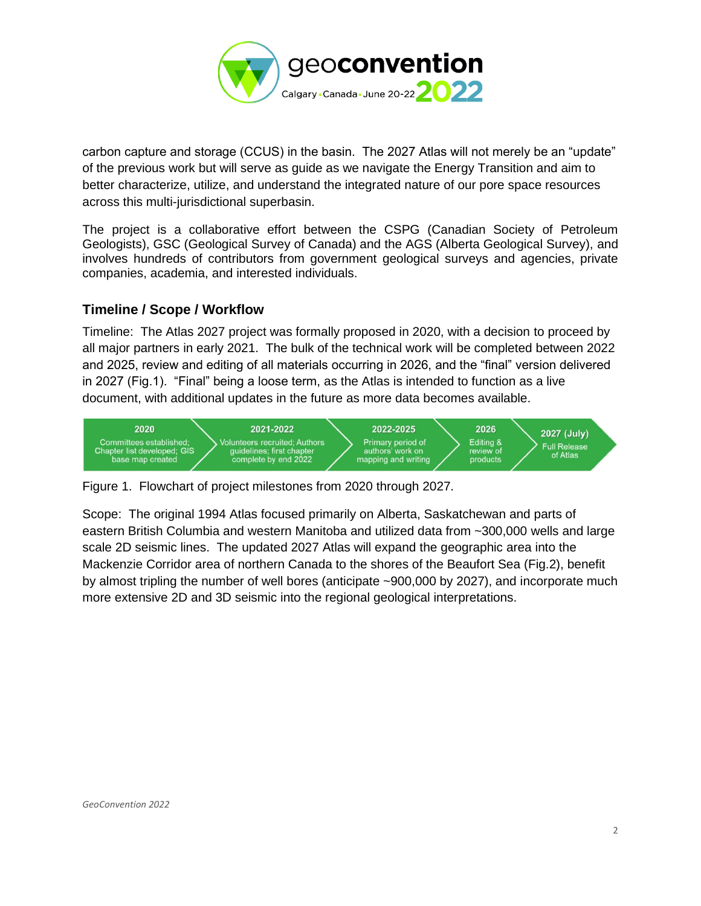

carbon capture and storage (CCUS) in the basin. The 2027 Atlas will not merely be an "update" of the previous work but will serve as guide as we navigate the Energy Transition and aim to better characterize, utilize, and understand the integrated nature of our pore space resources across this multi-jurisdictional superbasin.

The project is a collaborative effort between the CSPG (Canadian Society of Petroleum Geologists), GSC (Geological Survey of Canada) and the AGS (Alberta Geological Survey), and involves hundreds of contributors from government geological surveys and agencies, private companies, academia, and interested individuals.

### **Timeline / Scope / Workflow**

Timeline: The Atlas 2027 project was formally proposed in 2020, with a decision to proceed by all major partners in early 2021. The bulk of the technical work will be completed between 2022 and 2025, review and editing of all materials occurring in 2026, and the "final" version delivered in 2027 (Fig.1). "Final" being a loose term, as the Atlas is intended to function as a live document, with additional updates in the future as more data becomes available.



Figure 1. Flowchart of project milestones from 2020 through 2027.

Scope: The original 1994 Atlas focused primarily on Alberta, Saskatchewan and parts of eastern British Columbia and western Manitoba and utilized data from ~300,000 wells and large scale 2D seismic lines. The updated 2027 Atlas will expand the geographic area into the Mackenzie Corridor area of northern Canada to the shores of the Beaufort Sea (Fig.2), benefit by almost tripling the number of well bores (anticipate ~900,000 by 2027), and incorporate much more extensive 2D and 3D seismic into the regional geological interpretations.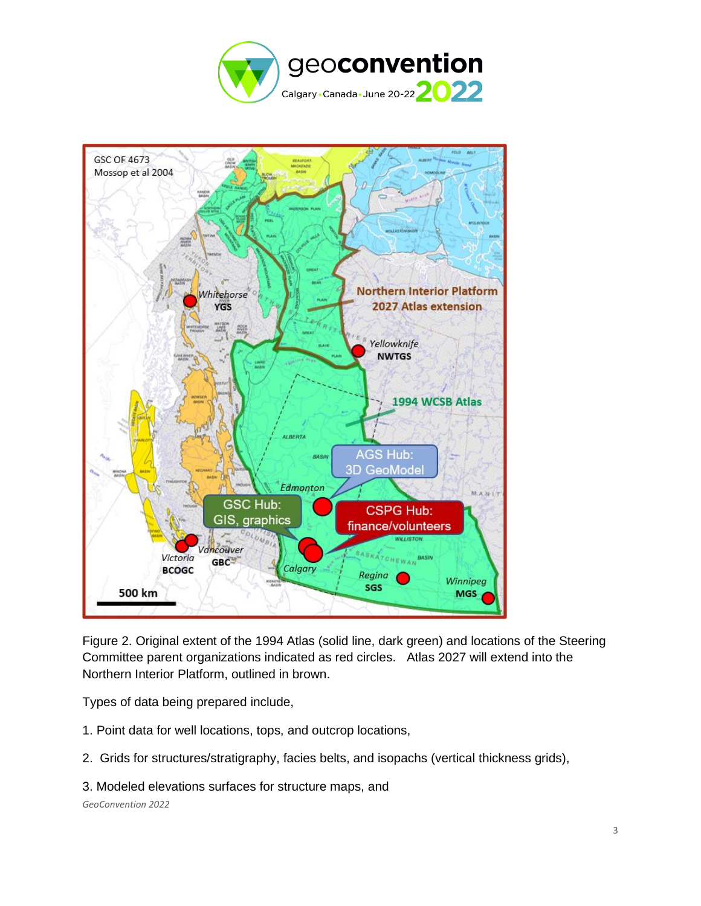



Figure 2. Original extent of the 1994 Atlas (solid line, dark green) and locations of the Steering Committee parent organizations indicated as red circles. Atlas 2027 will extend into the Northern Interior Platform, outlined in brown.

Types of data being prepared include,

- 1. Point data for well locations, tops, and outcrop locations,
- 2. Grids for structures/stratigraphy, facies belts, and isopachs (vertical thickness grids),
- 3. Modeled elevations surfaces for structure maps, and

*GeoConvention 2022*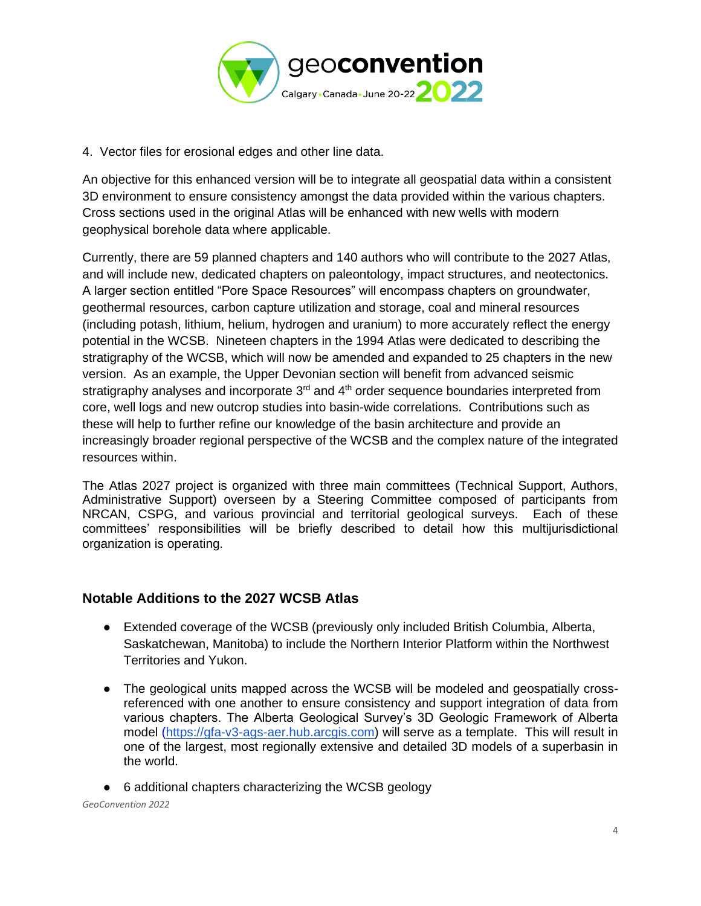

4. Vector files for erosional edges and other line data.

An objective for this enhanced version will be to integrate all geospatial data within a consistent 3D environment to ensure consistency amongst the data provided within the various chapters. Cross sections used in the original Atlas will be enhanced with new wells with modern geophysical borehole data where applicable.

Currently, there are 59 planned chapters and 140 authors who will contribute to the 2027 Atlas, and will include new, dedicated chapters on paleontology, impact structures, and neotectonics. A larger section entitled "Pore Space Resources" will encompass chapters on groundwater, geothermal resources, carbon capture utilization and storage, coal and mineral resources (including potash, lithium, helium, hydrogen and uranium) to more accurately reflect the energy potential in the WCSB. Nineteen chapters in the 1994 Atlas were dedicated to describing the stratigraphy of the WCSB, which will now be amended and expanded to 25 chapters in the new version. As an example, the Upper Devonian section will benefit from advanced seismic stratigraphy analyses and incorporate  $3<sup>rd</sup>$  and  $4<sup>th</sup>$  order sequence boundaries interpreted from core, well logs and new outcrop studies into basin-wide correlations. Contributions such as these will help to further refine our knowledge of the basin architecture and provide an increasingly broader regional perspective of the WCSB and the complex nature of the integrated resources within.

The Atlas 2027 project is organized with three main committees (Technical Support, Authors, Administrative Support) overseen by a Steering Committee composed of participants from NRCAN, CSPG, and various provincial and territorial geological surveys. Each of these committees' responsibilities will be briefly described to detail how this multijurisdictional organization is operating.

### **Notable Additions to the 2027 WCSB Atlas**

- Extended coverage of the WCSB (previously only included British Columbia, Alberta, Saskatchewan, Manitoba) to include the Northern Interior Platform within the Northwest Territories and Yukon.
- The geological units mapped across the WCSB will be modeled and geospatially crossreferenced with one another to ensure consistency and support integration of data from various chapters. The Alberta Geological Survey's 3D Geologic Framework of Alberta model [\(https://gfa-v3-ags-aer.hub.arcgis.com\)](https://gfa-v3-ags-aer.hub.arcgis.com/) will serve as a template. This will result in one of the largest, most regionally extensive and detailed 3D models of a superbasin in the world.
- 6 additional chapters characterizing the WCSB geology

*GeoConvention 2022*